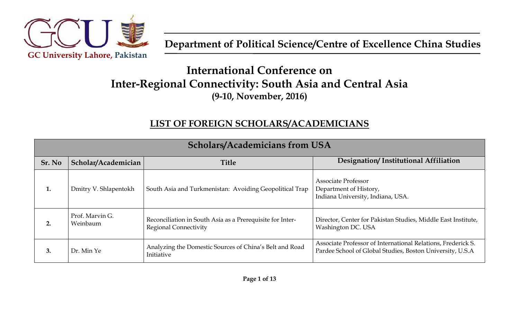

# **International Conference on Inter-Regional Connectivity: South Asia and Central Asia (9-10, November, 2016)**

#### **LIST OF FOREIGN SCHOLARS/ACADEMICIANS**

| <b>Scholars/Academicians from USA</b> |                             |                                                                                           |                                                                                                                           |
|---------------------------------------|-----------------------------|-------------------------------------------------------------------------------------------|---------------------------------------------------------------------------------------------------------------------------|
| Sr. No                                | Scholar/Academician         | <b>Title</b>                                                                              | Designation/Institutional Affiliation                                                                                     |
| 1.                                    | Dmitry V. Shlapentokh       | South Asia and Turkmenistan: Avoiding Geopolitical Trap                                   | Associate Professor<br>Department of History,<br>Indiana University, Indiana, USA.                                        |
| 2.                                    | Prof. Marvin G.<br>Weinbaum | Reconciliation in South Asia as a Prerequisite for Inter-<br><b>Regional Connectivity</b> | Director, Center for Pakistan Studies, Middle East Institute,<br>Washington DC. USA                                       |
| 3.                                    | Dr. Min Ye                  | Analyzing the Domestic Sources of China's Belt and Road<br>Initiative                     | Associate Professor of International Relations, Frederick S.<br>Pardee School of Global Studies, Boston University, U.S.A |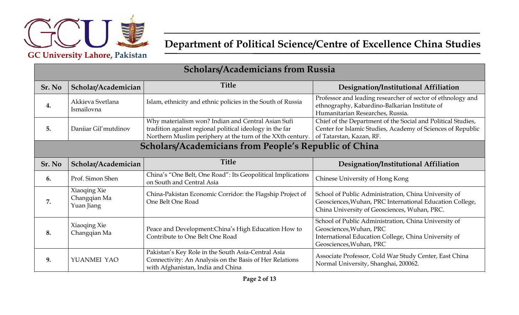

| <b>Scholars/Academicians from Russia</b>                     |                                            |                                                                                                                                                                              |                                                                                                                                                                    |
|--------------------------------------------------------------|--------------------------------------------|------------------------------------------------------------------------------------------------------------------------------------------------------------------------------|--------------------------------------------------------------------------------------------------------------------------------------------------------------------|
| Sr. No                                                       | Scholar/Academician                        | <b>Title</b>                                                                                                                                                                 | Designation/Institutional Affiliation                                                                                                                              |
| 4.                                                           | Akkieva Svetlana<br>Ismailovna             | Islam, ethnicity and ethnic policies in the South of Russia                                                                                                                  | Professor and leading researcher of sector of ethnology and<br>ethnography, Kabardino-Balkarian Institute of<br>Humanitarian Researches, Russia.                   |
| 5.                                                           | Danijar Gil'mutdinov                       | Why materialism won? Indian and Central Asian Sufi<br>tradition against regional political ideology in the far<br>Northern Muslim periphery at the turn of the XXth century. | Chief of the Department of the Social and Political Studies,<br>Center for Islamic Studies, Academy of Sciences of Republic<br>of Tatarstan, Kazan, RF.            |
| <b>Scholars/Academicians from People's Republic of China</b> |                                            |                                                                                                                                                                              |                                                                                                                                                                    |
| Sr. No                                                       | Scholar/Academician                        | <b>Title</b>                                                                                                                                                                 | Designation/Institutional Affiliation                                                                                                                              |
| 6.                                                           | Prof. Simon Shen                           | China's "One Belt, One Road": Its Geopolitical Implications<br>on South and Central Asia                                                                                     | Chinese University of Hong Kong                                                                                                                                    |
| 7.                                                           | Xiaoqing Xie<br>Changqian Ma<br>Yuan Jiang | China-Pakistan Economic Corridor: the Flagship Project of<br>One Belt One Road                                                                                               | School of Public Administration, China University of<br>Geosciences, Wuhan, PRC International Education College,<br>China University of Geosciences, Wuhan, PRC.   |
| 8.                                                           | Xiaoqing Xie<br>Changqian Ma               | Peace and Development: China's High Education How to<br>Contribute to One Belt One Road                                                                                      | School of Public Administration, China University of<br>Geosciences, Wuhan, PRC<br>International Education College, China University of<br>Geosciences, Wuhan, PRC |
| 9.                                                           | YUANMEI YAO                                | Pakistan's Key Role in the South Asia-Central Asia<br>Connectivity: An Analysis on the Basis of Her Relations<br>with Afghanistan, India and China                           | Associate Professor, Cold War Study Center, East China<br>Normal University, Shanghai, 200062.                                                                     |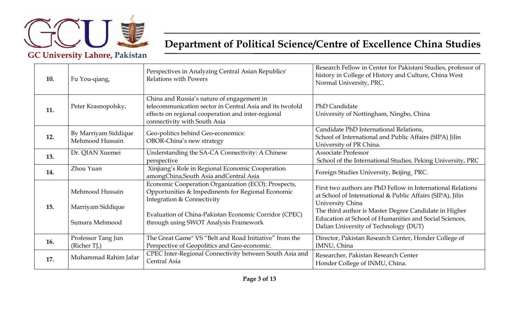

| 10. | Fu You-qiang,                           | Perspectives in Analyzing Central Asian Republics'<br><b>Relations with Powers</b>                                                                                                              | Research Fellow in Center for Pakistani Studies, professor of<br>history in College of History and Culture, China West<br>Normal University, PRC.                                                     |
|-----|-----------------------------------------|-------------------------------------------------------------------------------------------------------------------------------------------------------------------------------------------------|-------------------------------------------------------------------------------------------------------------------------------------------------------------------------------------------------------|
| 11. | Peter Krasnopolsky,                     | China and Russia's nature of engagement in<br>telecommunication sector in Central Asia and its twofold<br>effects on regional cooperation and inter-regional<br>connectivity with South Asia    | PhD Candidate<br>University of Nottingham, Ningbo, China                                                                                                                                              |
| 12. | By Marriyam Siddique<br>Mehmood Hussain | Geo-politics behind Geo-economics:<br>OBOR-China's new strategy                                                                                                                                 | Candidate PhD International Relations,<br>School of International and Public Affairs (SIPA) Jilin<br>University of PR China.                                                                          |
| 13. | Dr. QIAN Xuemei                         | Understanding the SA-CA Connectivity: A Chinese<br>perspective                                                                                                                                  | <b>Associate Professor</b><br>School of the International Studies, Peking University, PRC                                                                                                             |
| 14. | Zhou Yuan                               | Xinjiang's Role in Regional Economic Cooperation<br>amongChina,South Asia andCentral Asia                                                                                                       | Foreign Studies University, Beijing, PRC.                                                                                                                                                             |
| 15. | Mehmood Hussain<br>Marriyam Siddique    | Economic Cooperation Organization (ECO): Prospects,<br>Opportunities & Impediments for Regional Economic<br>Integration & Connectivity<br>Evaluation of China-Pakistan Economic Corridor (CPEC) | First two authors are PhD Fellow in International Relations<br>at School of International & Public Affairs (SIPA), Jilin<br>University China<br>The third author is Master Degree Candidate in Higher |
|     | Sumara Mehmood                          | through using SWOT Analysis Framework                                                                                                                                                           | Education at School of Humanities and Social Sciences,<br>Dalian University of Technology (DUT)                                                                                                       |
| 16. | Professor Tang Jun<br>(Richer TJ,)      | The Great Game" VS "Belt and Road Initiative" from the<br>Perspective of Geopolitics and Geo-economic.                                                                                          | Director, Pakistan Research Center, Honder College of<br>IMNU, China                                                                                                                                  |
| 17. | Muhammad Rahim Jafar                    | CPEC Inter-Regional Connectivity between South Asia and<br>Central Asia                                                                                                                         | Researcher, Pakistan Research Center<br>Honder College of INMU, China.                                                                                                                                |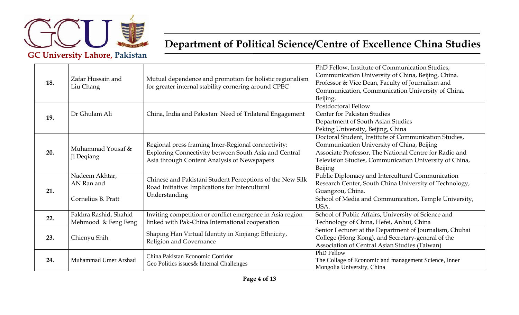

| 18. | Zafar Hussain and<br>Liu Chang                     | Mutual dependence and promotion for holistic regionalism<br>for greater internal stability cornering around CPEC                                            | PhD Fellow, Institute of Communication Studies,<br>Communication University of China, Beijing, China.<br>Professor & Vice Dean, Faculty of Journalism and<br>Communication, Communication University of China,<br>Beijing,                |
|-----|----------------------------------------------------|-------------------------------------------------------------------------------------------------------------------------------------------------------------|-------------------------------------------------------------------------------------------------------------------------------------------------------------------------------------------------------------------------------------------|
| 19. | Dr Ghulam Ali                                      | China, India and Pakistan: Need of Trilateral Engagement                                                                                                    | Postdoctoral Fellow<br>Center for Pakistan Studies<br>Department of South Asian Studies<br>Peking University, Beijing, China                                                                                                              |
| 20. | Muhammad Yousaf &<br>Ji Deqiang                    | Regional press framing Inter-Regional connectivity:<br>Exploring Connectivity between South Asia and Central<br>Asia through Content Analysis of Newspapers | Doctoral Student, Institute of Communication Studies,<br>Communication University of China, Beijing<br>Associate Professor, The National Centre for Radio and<br>Television Studies, Communication University of China,<br><b>Beijing</b> |
| 21. | Nadeem Akhtar,<br>AN Ran and<br>Cornelius B. Pratt | Chinese and Pakistani Student Perceptions of the New Silk<br>Road Initiative: Implications for Intercultural<br>Understanding                               | Public Diplomacy and Intercultural Communication<br>Research Center, South China University of Technology,<br>Guangzou, China.<br>School of Media and Communication, Temple University,<br>USA.                                           |
| 22. | Fakhra Rashid, Shahid<br>Mehmood & Feng Feng       | Inviting competition or conflict emergence in Asia region<br>linked with Pak-China International cooperation                                                | School of Public Affairs, University of Science and<br>Technology of China, Hefei, Anhui, China                                                                                                                                           |
| 23. | Chienyu Shih                                       | Shaping Han Virtual Identity in Xinjiang: Ethnicity,<br>Religion and Governance                                                                             | Senior Lecturer at the Department of Journalism, Chuhai<br>College (Hong Kong), and Secretary-general of the<br>Association of Central Asian Studies (Taiwan)                                                                             |
| 24. | Muhammad Umer Arshad                               | China Pakistan Economic Corridor<br>Geo Politics issues & Internal Challenges                                                                               | <b>PhD</b> Fellow<br>The Collage of Economic and management Science, Inner<br>Mongolia University, China                                                                                                                                  |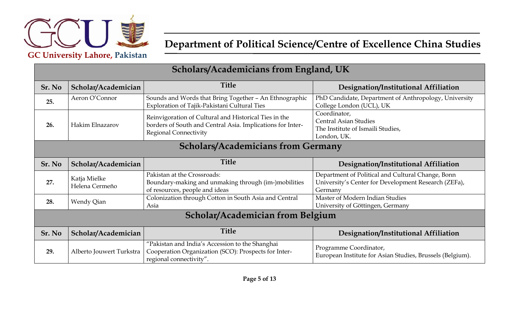

**GC University Lahore, Pakistan**

| <b>Scholars/Academicians from England, UK</b> |                                |                                                                                                                                                     |                                                                                                                      |
|-----------------------------------------------|--------------------------------|-----------------------------------------------------------------------------------------------------------------------------------------------------|----------------------------------------------------------------------------------------------------------------------|
| Sr. No                                        | Scholar/Academician            | <b>Title</b>                                                                                                                                        | Designation/Institutional Affiliation                                                                                |
| 25.                                           | Aeron O'Connor                 | Sounds and Words that Bring Together - An Ethnographic<br>Exploration of Tajik-Pakistani Cultural Ties                                              | PhD Candidate, Department of Anthropology, University<br>College London (UCL), UK                                    |
| 26.                                           | Hakim Elnazarov                | Reinvigoration of Cultural and Historical Ties in the<br>borders of South and Central Asia. Implications for Inter-<br><b>Regional Connectivity</b> | Coordinator,<br><b>Central Asian Studies</b><br>The Institute of Ismaili Studies,<br>London, UK.                     |
| <b>Scholars/Academicians from Germany</b>     |                                |                                                                                                                                                     |                                                                                                                      |
| Sr. No                                        | Scholar/Academician            | <b>Title</b>                                                                                                                                        | Designation/Institutional Affiliation                                                                                |
| 27.                                           | Katja Mielke<br>Helena Cermeño | Pakistan at the Crossroads:<br>Boundary-making and unmaking through (im-)mobilities<br>of resources, people and ideas                               | Department of Political and Cultural Change, Bonn<br>University's Center for Development Research (ZEFa),<br>Germany |
| 28.                                           | Wendy Qian                     | Colonization through Cotton in South Asia and Central<br>Asia                                                                                       | Master of Modern Indian Studies<br>University of Göttingen, Germany                                                  |
| Scholar/Academician from Belgium              |                                |                                                                                                                                                     |                                                                                                                      |
| Sr. No                                        | Scholar/Academician            | <b>Title</b>                                                                                                                                        | Designation/Institutional Affiliation                                                                                |
| 29.                                           | Alberto Jouwert Turkstra       | "Pakistan and India's Accession to the Shanghai<br>Cooperation Organization (SCO): Prospects for Inter-<br>regional connectivity".                  | Programme Coordinator,<br>European Institute for Asian Studies, Brussels (Belgium).                                  |

#### **Scholars/Academicians from England, UK**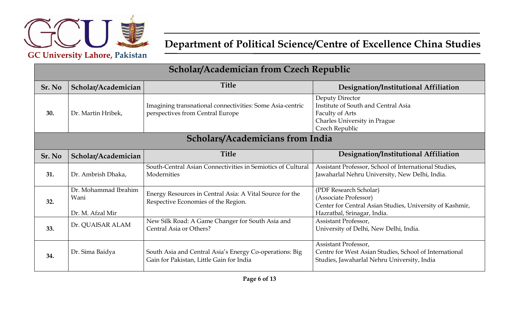

**GC University Lahore, Pakistan**

| <b>Scholar/Academician from Czech Republic</b> |                                                  |                                                                                                     |                                                                                                                                            |  |
|------------------------------------------------|--------------------------------------------------|-----------------------------------------------------------------------------------------------------|--------------------------------------------------------------------------------------------------------------------------------------------|--|
| Sr. No                                         | Scholar/Academician                              | <b>Title</b>                                                                                        | Designation/Institutional Affiliation                                                                                                      |  |
| 30.                                            | Dr. Martin Hribek,                               | Imagining transnational connectivities: Some Asia-centric<br>perspectives from Central Europe       | Deputy Director<br>Institute of South and Central Asia<br><b>Faculty of Arts</b><br>Charles University in Prague<br>Czech Republic         |  |
| <b>Scholars/Academicians from India</b>        |                                                  |                                                                                                     |                                                                                                                                            |  |
| Sr. No                                         | Scholar/Academician                              | <b>Title</b>                                                                                        | Designation/Institutional Affiliation                                                                                                      |  |
| 31.                                            | Dr. Ambrish Dhaka,                               | South-Central Asian Connectivities in Semiotics of Cultural<br>Modernities                          | Assistant Professor, School of International Studies,<br>Jawaharlal Nehru University, New Delhi, India.                                    |  |
| 32.                                            | Dr. Mohammad Ibrahim<br>Wani<br>Dr. M. Afzal Mir | Energy Resources in Central Asia: A Vital Source for the<br>Respective Economies of the Region.     | (PDF Research Scholar)<br>(Associate Professor)<br>Center for Central Asian Studies, University of Kashmir,<br>Hazratbal, Srinagar, India. |  |
| 33.                                            | Dr. QUAISAR ALAM                                 | New Silk Road: A Game Changer for South Asia and<br>Central Asia or Others?                         | Assistant Professor,<br>University of Delhi, New Delhi, India.                                                                             |  |
| 34.                                            | Dr. Sima Baidya                                  | South Asia and Central Asia's Energy Co-operations: Big<br>Gain for Pakistan, Little Gain for India | Assistant Professor,<br>Centre for West Asian Studies, School of International<br>Studies, Jawaharlal Nehru University, India              |  |

**Scholar/Academician from Czech Republic**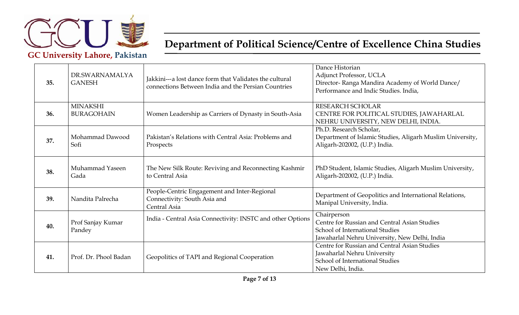

| 35. | DR.SWARNAMALYA<br><b>GANESH</b>      | Jakkini---a lost dance form that Validates the cultural<br>connections Between India and the Persian Countries | Dance Historian<br>Adjunct Professor, UCLA<br>Director-Ranga Mandira Academy of World Dance/<br>Performance and Indic Studies. India,           |
|-----|--------------------------------------|----------------------------------------------------------------------------------------------------------------|-------------------------------------------------------------------------------------------------------------------------------------------------|
| 36. | <b>MINAKSHI</b><br><b>BURAGOHAIN</b> | Women Leadership as Carriers of Dynasty in South-Asia                                                          | RESEARCH SCHOLAR<br>CENTRE FOR POLITICAL STUDIES, JAWAHARLAL<br>NEHRU UNIVERSITY, NEW DELHI, INDIA.                                             |
| 37. | Mohammad Dawood<br>Sofi              | Pakistan's Relations with Central Asia: Problems and<br>Prospects                                              | Ph.D. Research Scholar,<br>Department of Islamic Studies, Aligarh Muslim University,<br>Aligarh-202002, (U.P.) India.                           |
| 38. | Muhammad Yaseen<br>Gada              | The New Silk Route: Reviving and Reconnecting Kashmir<br>to Central Asia                                       | PhD Student, Islamic Studies, Aligarh Muslim University,<br>Aligarh-202002, (U.P.) India.                                                       |
| 39. | Nandita Palrecha                     | People-Centric Engagement and Inter-Regional<br>Connectivity: South Asia and<br>Central Asia                   | Department of Geopolitics and International Relations,<br>Manipal University, India.                                                            |
| 40. | Prof Sanjay Kumar<br>Pandey          | India - Central Asia Connectivity: INSTC and other Options                                                     | Chairperson<br>Centre for Russian and Central Asian Studies<br>School of International Studies<br>Jawaharlal Nehru University, New Delhi, India |
| 41. | Prof. Dr. Phool Badan                | Geopolitics of TAPI and Regional Cooperation                                                                   | Centre for Russian and Central Asian Studies<br>Jawaharlal Nehru University<br>School of International Studies<br>New Delhi, India.             |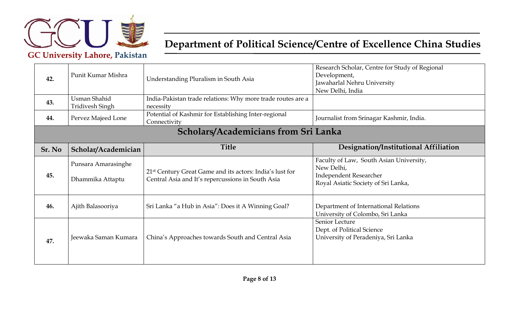

| 42.    | Punit Kumar Mishra                            | Understanding Pluralism in South Asia                                                                                     | Research Scholar, Centre for Study of Regional<br>Development,<br>Jawaharlal Nehru University<br>New Delhi, India             |
|--------|-----------------------------------------------|---------------------------------------------------------------------------------------------------------------------------|-------------------------------------------------------------------------------------------------------------------------------|
| 43.    | <b>Usman Shahid</b><br><b>Tridivesh Singh</b> | India-Pakistan trade relations: Why more trade routes are a<br>necessity                                                  |                                                                                                                               |
| 44.    | Pervez Majeed Lone                            | Potential of Kashmir for Establishing Inter-regional<br>Connectivity                                                      | Journalist from Srinagar Kashmir, India.                                                                                      |
|        |                                               | Scholars/Academicians from Sri Lanka                                                                                      |                                                                                                                               |
| Sr. No | Scholar/Academician                           | <b>Title</b>                                                                                                              | Designation/Institutional Affiliation                                                                                         |
| 45.    | Punsara Amarasinghe<br>Dhammika Attaptu       | 21 <sup>st</sup> Century Great Game and its actors: India's lust for<br>Central Asia and It's repercussions in South Asia | Faculty of Law, South Asian University,<br>New Delhi,<br><b>Independent Researcher</b><br>Royal Asiatic Society of Sri Lanka, |
| 46.    | Ajith Balasooriya                             | Sri Lanka "a Hub in Asia": Does it A Winning Goal?                                                                        | Department of International Relations<br>University of Colombo, Sri Lanka                                                     |
| 47.    | Jeewaka Saman Kumara                          | China's Approaches towards South and Central Asia                                                                         | Senior Lecture<br>Dept. of Political Science<br>University of Peradeniya, Sri Lanka                                           |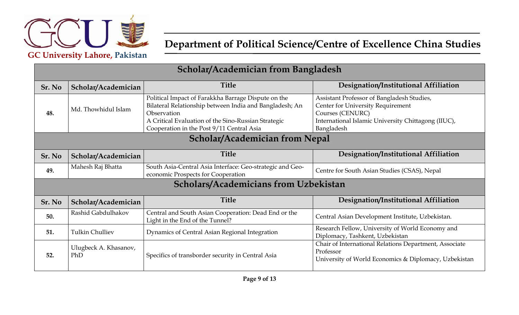

| Scholar/Academician from Bangladesh   |                              |                                                                                                                                                                                                                                   |                                                                                                                                                                          |  |
|---------------------------------------|------------------------------|-----------------------------------------------------------------------------------------------------------------------------------------------------------------------------------------------------------------------------------|--------------------------------------------------------------------------------------------------------------------------------------------------------------------------|--|
| Sr. No                                | Scholar/Academician          | <b>Title</b>                                                                                                                                                                                                                      | Designation/Institutional Affiliation                                                                                                                                    |  |
| 48.                                   | Md. Thowhidul Islam          | Political Impact of Farakkha Barrage Dispute on the<br>Bilateral Relationship between India and Bangladesh; An<br>Observation<br>A Critical Evaluation of the Sino-Russian Strategic<br>Cooperation in the Post 9/11 Central Asia | Assistant Professor of Bangladesh Studies,<br>Center for University Requirement<br>Courses (CENURC)<br>International Islamic University Chittagong (IIUC),<br>Bangladesh |  |
| <b>Scholar/Academician from Nepal</b> |                              |                                                                                                                                                                                                                                   |                                                                                                                                                                          |  |
| Sr. No                                | Scholar/Academician          | <b>Title</b>                                                                                                                                                                                                                      | Designation/Institutional Affiliation                                                                                                                                    |  |
| 49.                                   | Mahesh Raj Bhatta            | South Asia-Central Asia Interface: Geo-strategic and Geo-<br>economic Prospects for Cooperation                                                                                                                                   | Centre for South Asian Studies (CSAS), Nepal                                                                                                                             |  |
|                                       |                              | <b>Scholars/Academicians from Uzbekistan</b>                                                                                                                                                                                      |                                                                                                                                                                          |  |
| Sr. No                                | Scholar/Academician          | <b>Title</b>                                                                                                                                                                                                                      | Designation/Institutional Affiliation                                                                                                                                    |  |
| 50.                                   | Rashid Gabdulhakov           | Central and South Asian Cooperation: Dead End or the<br>Light in the End of the Tunnel?                                                                                                                                           | Central Asian Development Institute, Uzbekistan.                                                                                                                         |  |
| 51.                                   | <b>Tulkin Chulliev</b>       | Dynamics of Central Asian Regional Integration                                                                                                                                                                                    | Research Fellow, University of World Economy and<br>Diplomacy, Tashkent, Uzbekistan                                                                                      |  |
| 52.                                   | Ulugbeck A. Khasanov,<br>PhD | Specifics of transborder security in Central Asia                                                                                                                                                                                 | Chair of International Relations Department, Associate<br>Professor<br>University of World Economics & Diplomacy, Uzbekistan                                             |  |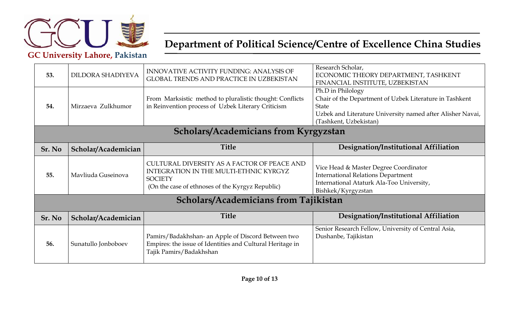

| 53.                                          | DILDORA SHADIYEVA   | INNOVATIVE ACTIVITY FUNDING: ANALYSIS OF<br><b>GLOBAL TRENDS AND PRACTICE IN UZBEKISTAN</b>                                                                 | Research Scholar,<br>ECONOMIC THEORY DEPARTMENT, TASHKENT<br>FINANCIAL INSTITUTE, UZBEKISTAN                                                                                  |
|----------------------------------------------|---------------------|-------------------------------------------------------------------------------------------------------------------------------------------------------------|-------------------------------------------------------------------------------------------------------------------------------------------------------------------------------|
| 54.                                          | Mirzaeva Zulkhumor  | From Marksistic method to pluralistic thought: Conflicts<br>in Reinvention process of Uzbek Literary Criticism                                              | Ph.D in Philology<br>Chair of the Department of Uzbek Literature in Tashkent<br>State<br>Uzbek and Literature University named after Alisher Navai,<br>(Tashkent, Uzbekistan) |
| <b>Scholars/Academicians from Kyrgyzstan</b> |                     |                                                                                                                                                             |                                                                                                                                                                               |
| Sr. No                                       | Scholar/Academician | <b>Title</b>                                                                                                                                                | Designation/Institutional Affiliation                                                                                                                                         |
| 55.                                          | Mayliuda Guseinova  | CULTURAL DIVERSITY AS A FACTOR OF PEACE AND<br>INTEGRATION IN THE MULTI-ETHNIC KYRGYZ<br><b>SOCIETY</b><br>(On the case of ethnoses of the Kyrgyz Republic) | Vice Head & Master Degree Coordinator<br><b>International Relations Department</b><br>International Ataturk Ala-Too University,<br>Bishkek/Kyrgyzstan                         |
| <b>Scholars/Academicians from Tajikistan</b> |                     |                                                                                                                                                             |                                                                                                                                                                               |
| Sr. No                                       | Scholar/Academician | <b>Title</b>                                                                                                                                                | Designation/Institutional Affiliation                                                                                                                                         |
| 56.                                          | Sunatullo Jonboboev | Pamirs/Badakhshan- an Apple of Discord Between two<br>Empires: the issue of Identities and Cultural Heritage in<br>Tajik Pamirs/Badakhshan                  | Senior Research Fellow, University of Central Asia,<br>Dushanbe, Tajikistan                                                                                                   |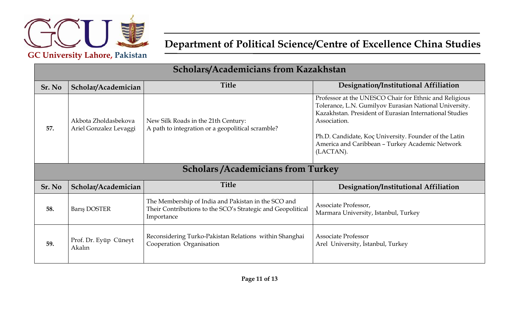

| Scholars/Academicians from Kazakhstan |                                                |                                                                                                                                  |                                                                                                                                                                                                                                                                                                                      |
|---------------------------------------|------------------------------------------------|----------------------------------------------------------------------------------------------------------------------------------|----------------------------------------------------------------------------------------------------------------------------------------------------------------------------------------------------------------------------------------------------------------------------------------------------------------------|
| Sr. No                                | Scholar/Academician                            | <b>Title</b>                                                                                                                     | Designation/Institutional Affiliation                                                                                                                                                                                                                                                                                |
| 57.                                   | Akbota Zholdasbekova<br>Ariel Gonzalez Levaggi | New Silk Roads in the 21th Century:<br>A path to integration or a geopolitical scramble?                                         | Professor at the UNESCO Chair for Ethnic and Religious<br>Tolerance, L.N. Gumilyov Eurasian National University.<br>Kazakhstan. President of Eurasian International Studies<br>Association.<br>Ph.D. Candidate, Koç University. Founder of the Latin<br>America and Caribbean - Turkey Academic Network<br>(LACTAN). |
|                                       |                                                | <b>Scholars /Academicians from Turkey</b>                                                                                        |                                                                                                                                                                                                                                                                                                                      |
| Sr. No                                | Scholar/Academician                            | <b>Title</b>                                                                                                                     | Designation/Institutional Affiliation                                                                                                                                                                                                                                                                                |
| 58.                                   | <b>Baris DOSTER</b>                            | The Membership of India and Pakistan in the SCO and<br>Their Contributions to the SCO's Strategic and Geopolitical<br>Importance | Associate Professor,<br>Marmara University, Istanbul, Turkey                                                                                                                                                                                                                                                         |
| 59.                                   | Prof. Dr. Eyüp Cüneyt<br>Akalın                | Reconsidering Turko-Pakistan Relations within Shanghai<br>Cooperation Organisation                                               | <b>Associate Professor</b><br>Arel University, Istanbul, Turkey                                                                                                                                                                                                                                                      |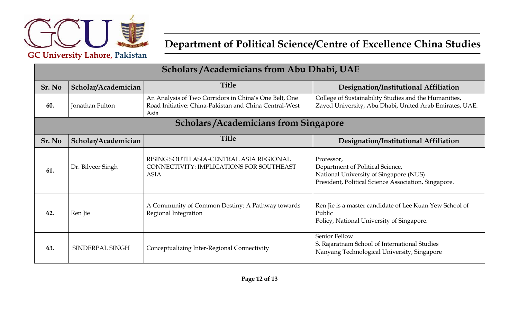

| Scholars / Academicians from Abu Dhabi, UAE |                                               |                                                                                                                         |                                                                                                                                                  |  |
|---------------------------------------------|-----------------------------------------------|-------------------------------------------------------------------------------------------------------------------------|--------------------------------------------------------------------------------------------------------------------------------------------------|--|
| Sr. No                                      | Scholar/Academician                           | <b>Title</b>                                                                                                            | Designation/Institutional Affiliation                                                                                                            |  |
| 60.                                         | Jonathan Fulton                               | An Analysis of Two Corridors in China's One Belt, One<br>Road Initiative: China-Pakistan and China Central-West<br>Asia | College of Sustainability Studies and the Humanities,<br>Zayed University, Abu Dhabi, United Arab Emirates, UAE.                                 |  |
|                                             | <b>Scholars / Academicians from Singapore</b> |                                                                                                                         |                                                                                                                                                  |  |
| Sr. No                                      | Scholar/Academician                           | <b>Title</b>                                                                                                            | Designation/Institutional Affiliation                                                                                                            |  |
| 61.                                         | Dr. Bilveer Singh                             | RISING SOUTH ASIA-CENTRAL ASIA REGIONAL<br>CONNECTIVITY: IMPLICATIONS FOR SOUTHEAST<br><b>ASIA</b>                      | Professor,<br>Department of Political Science,<br>National University of Singapore (NUS)<br>President, Political Science Association, Singapore. |  |
| 62.                                         | Ren Jie                                       | A Community of Common Destiny: A Pathway towards<br>Regional Integration                                                | Ren Jie is a master candidate of Lee Kuan Yew School of<br>Public<br>Policy, National University of Singapore.                                   |  |
| 63.                                         | SINDERPAL SINGH                               | Conceptualizing Inter-Regional Connectivity                                                                             | Senior Fellow<br>S. Rajaratnam School of International Studies<br>Nanyang Technological University, Singapore                                    |  |